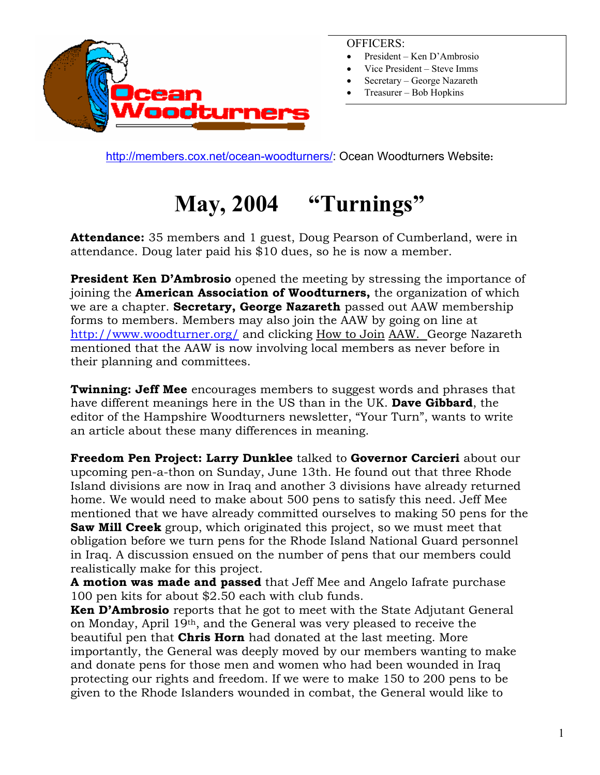

#### OFFICERS:

- President Ken D'Ambrosio
- Vice President Steve Imms
- Secretary George Nazareth
- Treasurer Bob Hopkins

[http://members.cox.net/ocean-woodturners/:](http://members.cox.net/ocean-woodturners/) Ocean Woodturners Website**:** 

# **May, 2004 "Turnings"**

**Attendance:** 35 members and 1 guest, Doug Pearson of Cumberland, were in attendance. Doug later paid his \$10 dues, so he is now a member.

**President Ken D'Ambrosio** opened the meeting by stressing the importance of joining the **American Association of Woodturners,** the organization of which we are a chapter. **Secretary, George Nazareth** passed out AAW membership forms to members. Members may also join the AAW by going on line at <http://www.woodturner.org/> and clicking How to Join AAW. George Nazareth mentioned that the AAW is now involving local members as never before in their planning and committees.

**Twinning: Jeff Mee** encourages members to suggest words and phrases that have different meanings here in the US than in the UK. **Dave Gibbard**, the editor of the Hampshire Woodturners newsletter, "Your Turn", wants to write an article about these many differences in meaning.

**Freedom Pen Project: Larry Dunklee** talked to **Governor Carcieri** about our upcoming pen-a-thon on Sunday, June 13th. He found out that three Rhode Island divisions are now in Iraq and another 3 divisions have already returned home. We would need to make about 500 pens to satisfy this need. Jeff Mee mentioned that we have already committed ourselves to making 50 pens for the **Saw Mill Creek** group, which originated this project, so we must meet that obligation before we turn pens for the Rhode Island National Guard personnel in Iraq. A discussion ensued on the number of pens that our members could realistically make for this project.

**A motion was made and passed** that Jeff Mee and Angelo Iafrate purchase 100 pen kits for about \$2.50 each with club funds.

**Ken D'Ambrosio** reports that he got to meet with the State Adjutant General on Monday, April 19th, and the General was very pleased to receive the beautiful pen that **Chris Horn** had donated at the last meeting. More importantly, the General was deeply moved by our members wanting to make and donate pens for those men and women who had been wounded in Iraq protecting our rights and freedom. If we were to make 150 to 200 pens to be given to the Rhode Islanders wounded in combat, the General would like to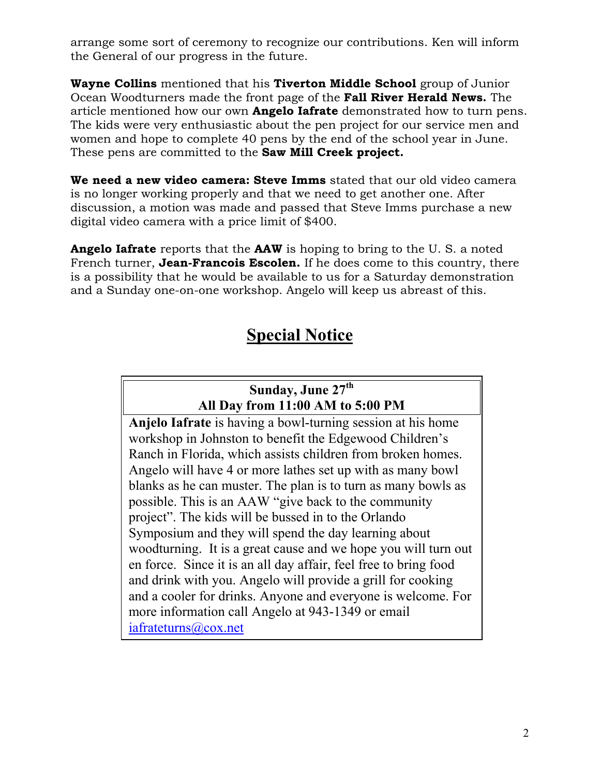arrange some sort of ceremony to recognize our contributions. Ken will inform the General of our progress in the future.

**Wayne Collins** mentioned that his **Tiverton Middle School** group of Junior Ocean Woodturners made the front page of the **Fall River Herald News.** The article mentioned how our own **Angelo Iafrate** demonstrated how to turn pens. The kids were very enthusiastic about the pen project for our service men and women and hope to complete 40 pens by the end of the school year in June. These pens are committed to the **Saw Mill Creek project.**

**We need a new video camera: Steve Imms** stated that our old video camera is no longer working properly and that we need to get another one. After discussion, a motion was made and passed that Steve Imms purchase a new digital video camera with a price limit of \$400.

**Angelo Iafrate** reports that the **AAW** is hoping to bring to the U. S. a noted French turner, **Jean-Francois Escolen.** If he does come to this country, there is a possibility that he would be available to us for a Saturday demonstration and a Sunday one-on-one workshop. Angelo will keep us abreast of this.

## **Special Notice**

## **Sunday, June 27th All Day from 11:00 AM to 5:00 PM**

**Anjelo Iafrate** is having a bowl-turning session at his home workshop in Johnston to benefit the Edgewood Children's Ranch in Florida, which assists children from broken homes. Angelo will have 4 or more lathes set up with as many bowl blanks as he can muster. The plan is to turn as many bowls as possible. This is an AAW "give back to the community project". The kids will be bussed in to the Orlando Symposium and they will spend the day learning about woodturning. It is a great cause and we hope you will turn out en force. Since it is an all day affair, feel free to bring food and drink with you. Angelo will provide a grill for cooking and a cooler for drinks. Anyone and everyone is welcome. For more information call Angelo at 943-1349 or email iafrateturns@cox.net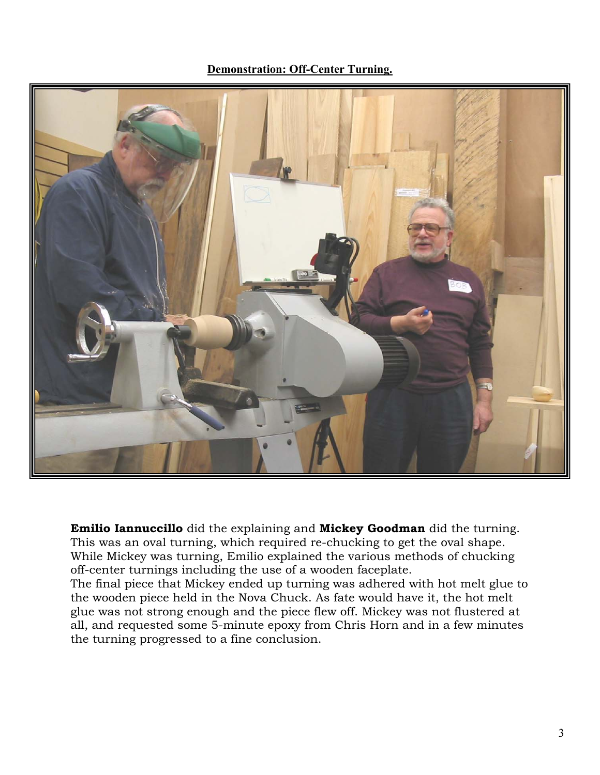**Demonstration: Off-Center Turning.**



**Emilio Iannuccillo** did the explaining and **Mickey Goodman** did the turning. This was an oval turning, which required re-chucking to get the oval shape. While Mickey was turning, Emilio explained the various methods of chucking off-center turnings including the use of a wooden faceplate.

The final piece that Mickey ended up turning was adhered with hot melt glue to the wooden piece held in the Nova Chuck. As fate would have it, the hot melt glue was not strong enough and the piece flew off. Mickey was not flustered at all, and requested some 5-minute epoxy from Chris Horn and in a few minutes the turning progressed to a fine conclusion.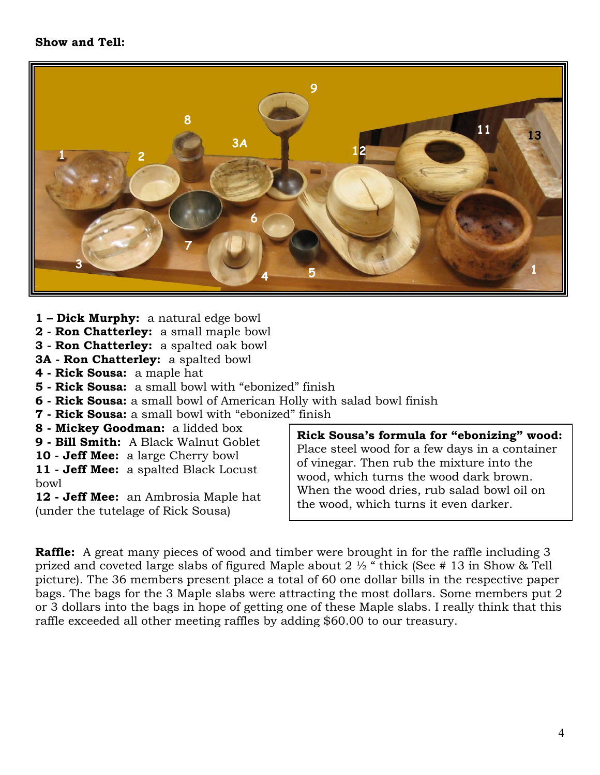#### **Show and Tell:**



- **1 – Dick Murphy:** a natural edge bowl
- **2 Ron Chatterley:** a small maple bowl
- **3 Ron Chatterley:** a spalted oak bowl
- **3A Ron Chatterley:** a spalted bowl
- **4 Rick Sousa:** a maple hat
- **5 Rick Sousa:** a small bowl with "ebonized" finish
- **6 Rick Sousa:** a small bowl of American Holly with salad bowl finish
- **7 Rick Sousa:** a small bowl with "ebonized" finish
- 
- **9 Bill Smith:** A Black Walnut Goblet
- **10 Jeff Mee:** a large Cherry bowl

**11 - Jeff Mee:** a spalted Black Locust bowl

**12 - Jeff Mee:** an Ambrosia Maple hat (under the tutelage of Rick Sousa)

**8 - Mickey Goodman:** a lidded box **Rick Sousa's formula for "ebonizing" wood:**  Place steel wood for a few days in a container of vinegar. Then rub the mixture into the wood, which turns the wood dark brown. When the wood dries, rub salad bowl oil on the wood, which turns it even darker.

**Raffle:** A great many pieces of wood and timber were brought in for the raffle including 3 prized and coveted large slabs of figured Maple about 2  $\frac{1}{2}$  " thick (See # 13 in Show & Tell picture). The 36 members present place a total of 60 one dollar bills in the respective paper bags. The bags for the 3 Maple slabs were attracting the most dollars. Some members put 2 or 3 dollars into the bags in hope of getting one of these Maple slabs. I really think that this raffle exceeded all other meeting raffles by adding \$60.00 to our treasury.